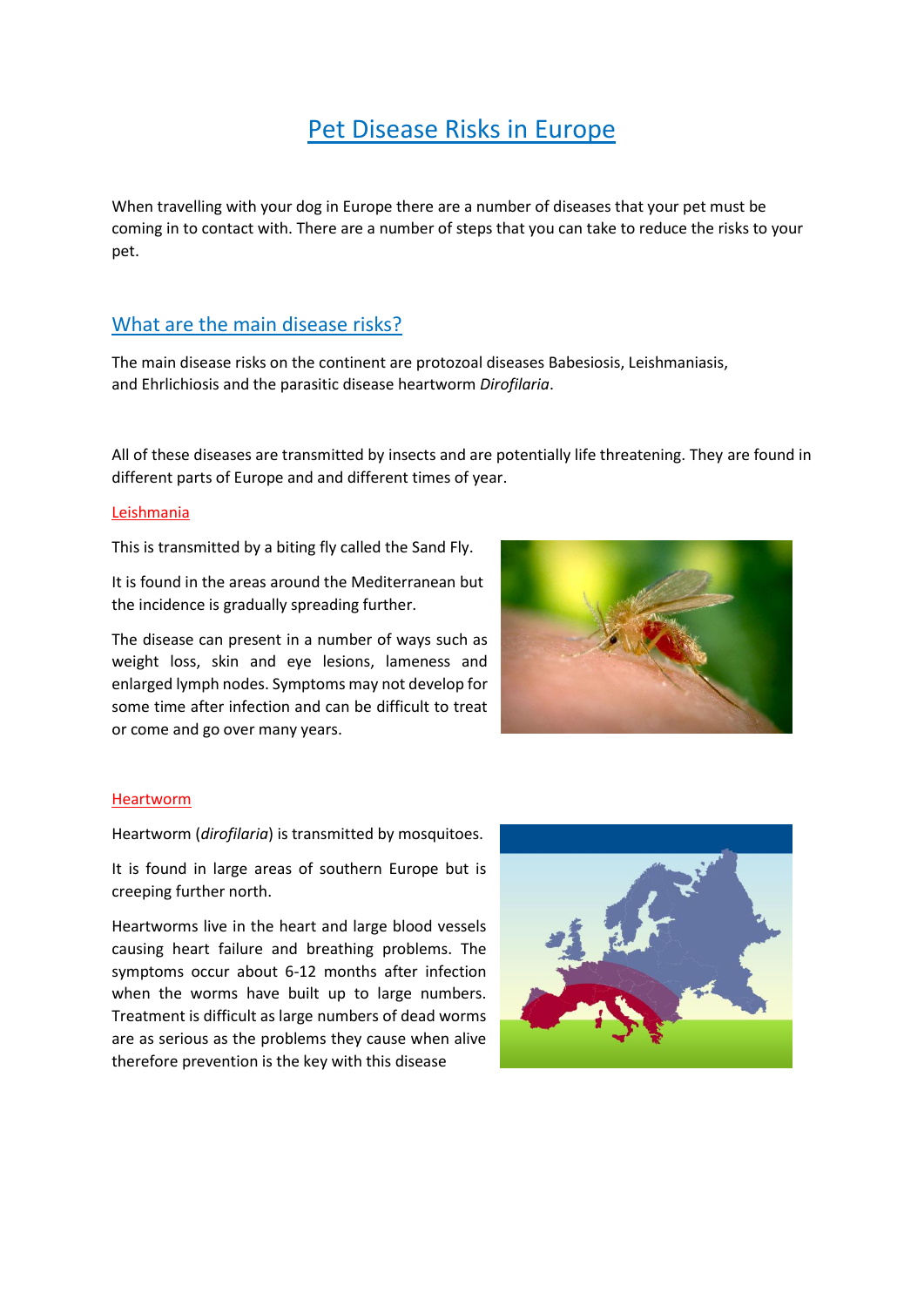## Pet Disease Risks in Europe

When travelling with your dog in Europe there are a number of diseases that your pet must be coming in to contact with. There are a number of steps that you can take to reduce the risks to your pet.

## What are the main disease risks?

The main disease risks on the continent are protozoal diseases Babesiosis, Leishmaniasis, and Ehrlichiosis and the parasitic disease heartworm *Dirofilaria*.

All of these diseases are transmitted by insects and are potentially life threatening. They are found in different parts of Europe and and different times of year.

#### Leishmania

This is transmitted by a biting fly called the Sand Fly.

It is found in the areas around the Mediterranean but the incidence is gradually spreading further.

The disease can present in a number of ways such as weight loss, skin and eye lesions, lameness and enlarged lymph nodes. Symptoms may not develop for some time after infection and can be difficult to treat or come and go over many years.



#### Heartworm

Heartworm (*dirofilaria*) is transmitted by mosquitoes.

It is found in large areas of southern Europe but is creeping further north.

Heartworms live in the heart and large blood vessels causing heart failure and breathing problems. The symptoms occur about 6-12 months after infection when the worms have built up to large numbers. Treatment is difficult as large numbers of dead worms are as serious as the problems they cause when alive therefore prevention is the key with this disease

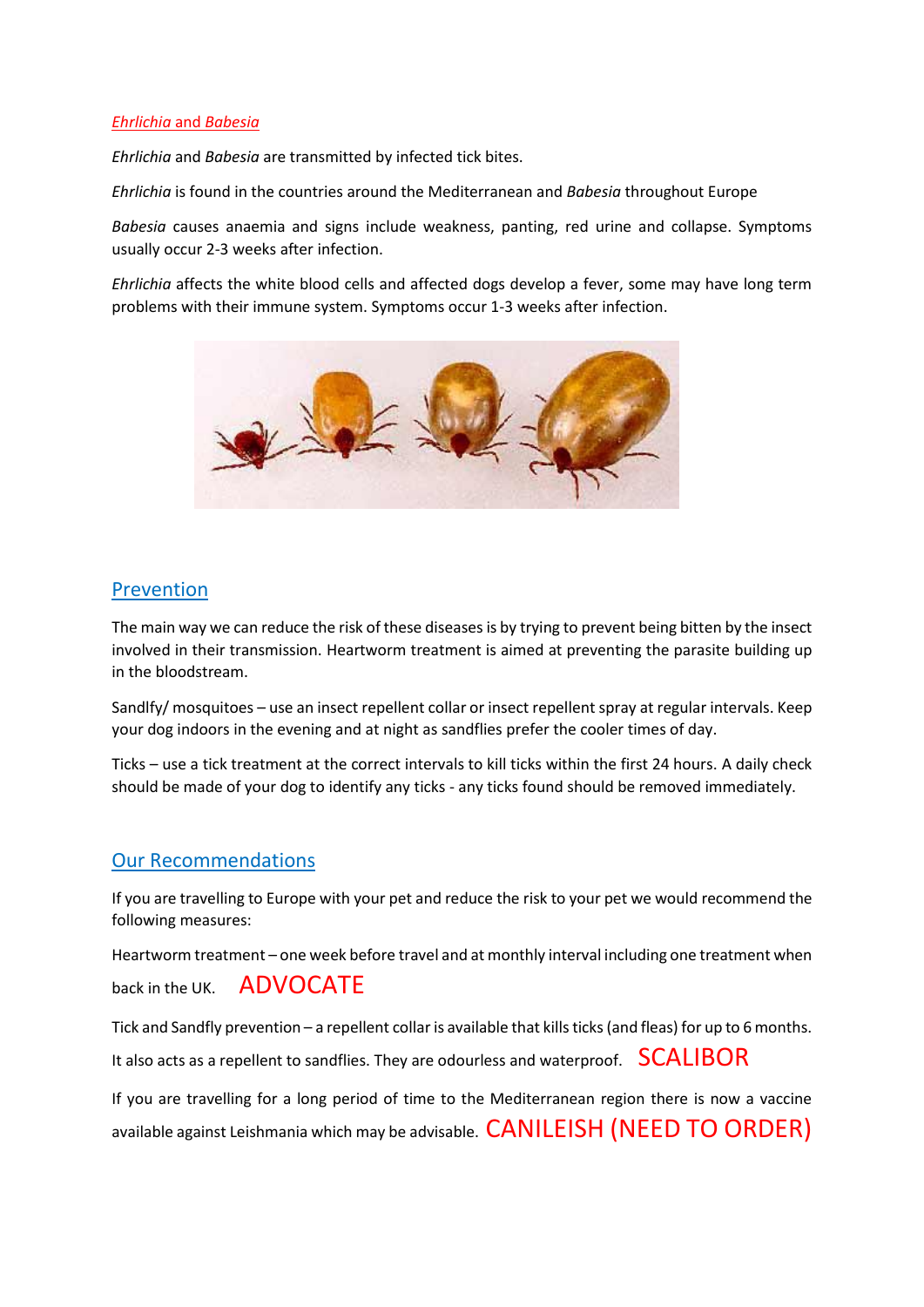#### *Ehrlichia* and *Babesia*

*Ehrlichia* and *Babesia* are transmitted by infected tick bites.

*Ehrlichia* is found in the countries around the Mediterranean and *Babesia* throughout Europe

*Babesia* causes anaemia and signs include weakness, panting, red urine and collapse. Symptoms usually occur 2-3 weeks after infection.

*Ehrlichia* affects the white blood cells and affected dogs develop a fever, some may have long term problems with their immune system. Symptoms occur 1-3 weeks after infection.



## Prevention

The main way we can reduce the risk of these diseases is by trying to prevent being bitten by the insect involved in their transmission. Heartworm treatment is aimed at preventing the parasite building up in the bloodstream.

Sandlfy/ mosquitoes – use an insect repellent collar or insect repellent spray at regular intervals. Keep your dog indoors in the evening and at night as sandflies prefer the cooler times of day.

Ticks – use a tick treatment at the correct intervals to kill ticks within the first 24 hours. A daily check should be made of your dog to identify any ticks - any ticks found should be removed immediately.

## Our Recommendations

If you are travelling to Europe with your pet and reduce the risk to your pet we would recommend the following measures:

Heartworm treatment – one week before travel and at monthly interval including one treatment when back in the UK. **ADVOCATE** 

Tick and Sandfly prevention – a repellent collar is available that kills ticks (and fleas) for up to 6 months. It also acts as a repellent to sandflies. They are odourless and waterproof.  $SCALIBOR$ 

If you are travelling for a long period of time to the Mediterranean region there is now a vaccine available against Leishmania which may be advisable. CANILEISH (NEED TO ORDER)